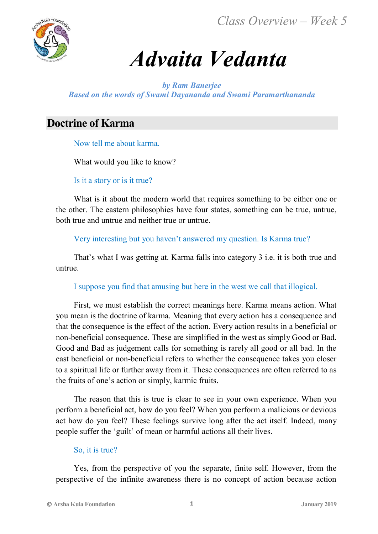*Class Overview – Week 5*



# *Advaita Vedanta*

*by Ram Banerjee Based on the words of Swami Dayananda and Swami Paramarthananda*

# **Doctrine of Karma**

Now tell me about karma.

What would you like to know?

Is it a story or is it true?

What is it about the modern world that requires something to be either one or the other. The eastern philosophies have four states, something can be true, untrue, both true and untrue and neither true or untrue.

Very interesting but you haven't answered my question. Is Karma true?

That's what I was getting at. Karma falls into category 3 i.e. it is both true and untrue.

I suppose you find that amusing but here in the west we call that illogical.

First, we must establish the correct meanings here. Karma means action. What you mean is the doctrine of karma. Meaning that every action has a consequence and that the consequence is the effect of the action. Every action results in a beneficial or non-beneficial consequence. These are simplified in the west as simply Good or Bad. Good and Bad as judgement calls for something is rarely all good or all bad. In the east beneficial or non-beneficial refers to whether the consequence takes you closer to a spiritual life or further away from it. These consequences are often referred to as the fruits of one's action or simply, karmic fruits.

The reason that this is true is clear to see in your own experience. When you perform a beneficial act, how do you feel? When you perform a malicious or devious act how do you feel? These feelings survive long after the act itself. Indeed, many people suffer the 'guilt' of mean or harmful actions all their lives.

## So, it is true?

Yes, from the perspective of you the separate, finite self. However, from the perspective of the infinite awareness there is no concept of action because action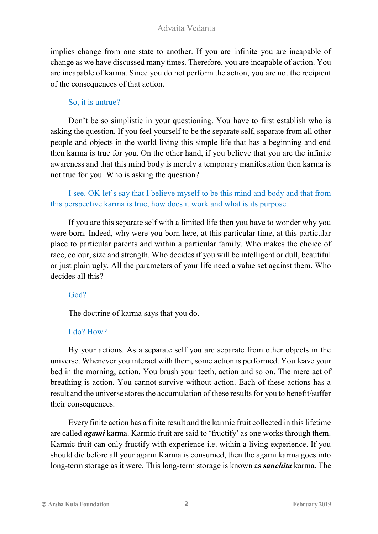## Advaita Vedanta

implies change from one state to another. If you are infinite you are incapable of change as we have discussed many times. Therefore, you are incapable of action. You are incapable of karma. Since you do not perform the action, you are not the recipient of the consequences of that action.

#### So, it is untrue?

Don't be so simplistic in your questioning. You have to first establish who is asking the question. If you feel yourself to be the separate self, separate from all other people and objects in the world living this simple life that has a beginning and end then karma is true for you. On the other hand, if you believe that you are the infinite awareness and that this mind body is merely a temporary manifestation then karma is not true for you. Who is asking the question?

I see. OK let's say that I believe myself to be this mind and body and that from this perspective karma is true, how does it work and what is its purpose.

If you are this separate self with a limited life then you have to wonder why you were born. Indeed, why were you born here, at this particular time, at this particular place to particular parents and within a particular family. Who makes the choice of race, colour, size and strength. Who decides if you will be intelligent or dull, beautiful or just plain ugly. All the parameters of your life need a value set against them. Who decides all this?

#### God?

The doctrine of karma says that you do.

## I do? How?

By your actions. As a separate self you are separate from other objects in the universe. Whenever you interact with them, some action is performed. You leave your bed in the morning, action. You brush your teeth, action and so on. The mere act of breathing is action. You cannot survive without action. Each of these actions has a result and the universe stores the accumulation of these results for you to benefit/suffer their consequences.

Every finite action has a finite result and the karmic fruit collected in this lifetime are called *agami* karma. Karmic fruit are said to 'fructify' as one works through them. Karmic fruit can only fructify with experience i.e. within a living experience. If you should die before all your agami Karma is consumed, then the agami karma goes into long-term storage as it were. This long-term storage is known as *sanchita* karma. The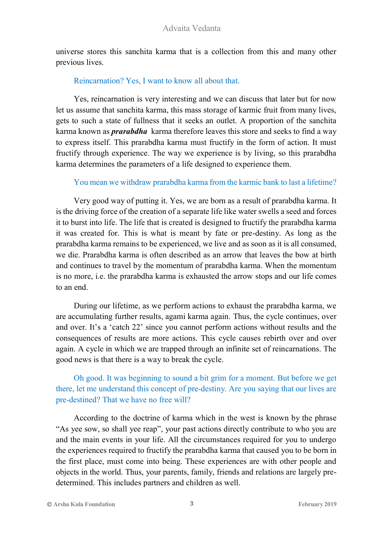universe stores this sanchita karma that is a collection from this and many other previous lives.

# Reincarnation? Yes, I want to know all about that.

Yes, reincarnation is very interesting and we can discuss that later but for now let us assume that sanchita karma, this mass storage of karmic fruit from many lives, gets to such a state of fullness that it seeks an outlet. A proportion of the sanchita karma known as *prarabdha* karma therefore leaves this store and seeks to find a way to express itself. This prarabdha karma must fructify in the form of action. It must fructify through experience. The way we experience is by living, so this prarabdha karma determines the parameters of a life designed to experience them.

# You mean we withdraw prarabdha karma from the karmic bank to last a lifetime?

Very good way of putting it. Yes, we are born as a result of prarabdha karma. It is the driving force of the creation of a separate life like water swells a seed and forces it to burst into life. The life that is created is designed to fructify the prarabdha karma it was created for. This is what is meant by fate or pre-destiny. As long as the prarabdha karma remains to be experienced, we live and as soon as it is all consumed, we die. Prarabdha karma is often described as an arrow that leaves the bow at birth and continues to travel by the momentum of prarabdha karma. When the momentum is no more, i.e. the prarabdha karma is exhausted the arrow stops and our life comes to an end.

During our lifetime, as we perform actions to exhaust the prarabdha karma, we are accumulating further results, agami karma again. Thus, the cycle continues, over and over. It's a 'catch 22' since you cannot perform actions without results and the consequences of results are more actions. This cycle causes rebirth over and over again. A cycle in which we are trapped through an infinite set of reincarnations. The good news is that there is a way to break the cycle.

# Oh good. It was beginning to sound a bit grim for a moment. But before we get there, let me understand this concept of pre-destiny. Are you saying that our lives are pre-destined? That we have no free will?

According to the doctrine of karma which in the west is known by the phrase "As yee sow, so shall yee reap", your past actions directly contribute to who you are and the main events in your life. All the circumstances required for you to undergo the experiences required to fructify the prarabdha karma that caused you to be born in the first place, must come into being. These experiences are with other people and objects in the world. Thus, your parents, family, friends and relations are largely predetermined. This includes partners and children as well.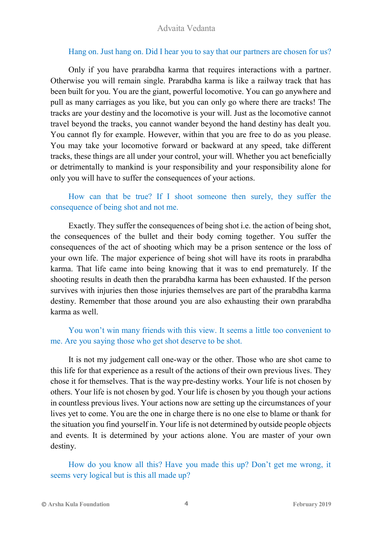## Hang on. Just hang on. Did I hear you to say that our partners are chosen for us?

Only if you have prarabdha karma that requires interactions with a partner. Otherwise you will remain single. Prarabdha karma is like a railway track that has been built for you. You are the giant, powerful locomotive. You can go anywhere and pull as many carriages as you like, but you can only go where there are tracks! The tracks are your destiny and the locomotive is your will. Just as the locomotive cannot travel beyond the tracks, you cannot wander beyond the hand destiny has dealt you. You cannot fly for example. However, within that you are free to do as you please. You may take your locomotive forward or backward at any speed, take different tracks, these things are all under your control, your will. Whether you act beneficially or detrimentally to mankind is your responsibility and your responsibility alone for only you will have to suffer the consequences of your actions.

# How can that be true? If I shoot someone then surely, they suffer the consequence of being shot and not me.

Exactly. They suffer the consequences of being shot i.e. the action of being shot, the consequences of the bullet and their body coming together. You suffer the consequences of the act of shooting which may be a prison sentence or the loss of your own life. The major experience of being shot will have its roots in prarabdha karma. That life came into being knowing that it was to end prematurely. If the shooting results in death then the prarabdha karma has been exhausted. If the person survives with injuries then those injuries themselves are part of the prarabdha karma destiny. Remember that those around you are also exhausting their own prarabdha karma as well.

# You won't win many friends with this view. It seems a little too convenient to me. Are you saying those who get shot deserve to be shot.

It is not my judgement call one-way or the other. Those who are shot came to this life for that experience as a result of the actions of their own previous lives. They chose it for themselves. That is the way pre-destiny works. Your life is not chosen by others. Your life is not chosen by god. Your life is chosen by you though your actions in countless previous lives. Your actions now are setting up the circumstances of your lives yet to come. You are the one in charge there is no one else to blame or thank for the situation you find yourself in. Your life is not determined by outside people objects and events. It is determined by your actions alone. You are master of your own destiny.

How do you know all this? Have you made this up? Don't get me wrong, it seems very logical but is this all made up?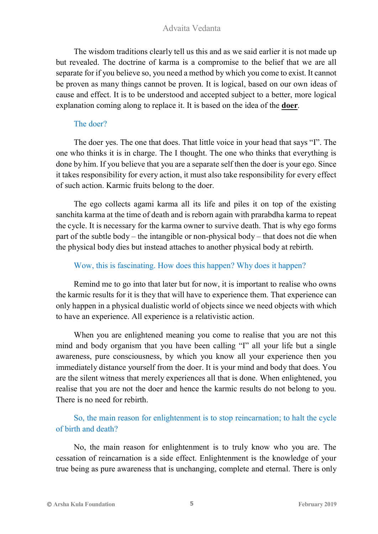# Advaita Vedanta

The wisdom traditions clearly tell us this and as we said earlier it is not made up but revealed. The doctrine of karma is a compromise to the belief that we are all separate for if you believe so, you need a method by which you come to exist. It cannot be proven as many things cannot be proven. It is logical, based on our own ideas of cause and effect. It is to be understood and accepted subject to a better, more logical explanation coming along to replace it. It is based on the idea of the **doer**.

#### The doer?

The doer yes. The one that does. That little voice in your head that says "I". The one who thinks it is in charge. The I thought. The one who thinks that everything is done by him. If you believe that you are a separate self then the doer is your ego. Since it takes responsibility for every action, it must also take responsibility for every effect of such action. Karmic fruits belong to the doer.

The ego collects agami karma all its life and piles it on top of the existing sanchita karma at the time of death and is reborn again with prarabdha karma to repeat the cycle. It is necessary for the karma owner to survive death. That is why ego forms part of the subtle body – the intangible or non-physical body – that does not die when the physical body dies but instead attaches to another physical body at rebirth.

## Wow, this is fascinating. How does this happen? Why does it happen?

Remind me to go into that later but for now, it is important to realise who owns the karmic results for it is they that will have to experience them. That experience can only happen in a physical dualistic world of objects since we need objects with which to have an experience. All experience is a relativistic action.

When you are enlightened meaning you come to realise that you are not this mind and body organism that you have been calling "I" all your life but a single awareness, pure consciousness, by which you know all your experience then you immediately distance yourself from the doer. It is your mind and body that does. You are the silent witness that merely experiences all that is done. When enlightened, you realise that you are not the doer and hence the karmic results do not belong to you. There is no need for rebirth.

# So, the main reason for enlightenment is to stop reincarnation; to halt the cycle of birth and death?

No, the main reason for enlightenment is to truly know who you are. The cessation of reincarnation is a side effect. Enlightenment is the knowledge of your true being as pure awareness that is unchanging, complete and eternal. There is only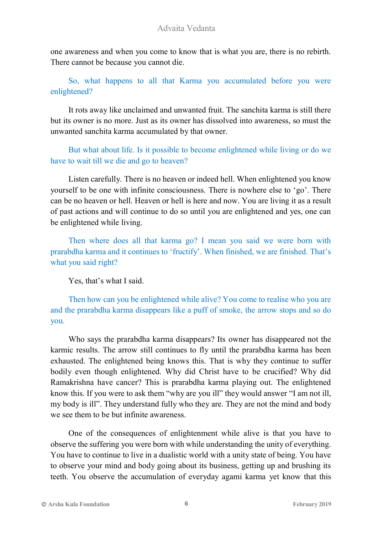one awareness and when you come to know that is what you are, there is no rebirth. There cannot be because you cannot die.

So, what happens to all that Karma you accumulated before you were enlightened?

It rots away like unclaimed and unwanted fruit. The sanchita karma is still there but its owner is no more. Just as its owner has dissolved into awareness, so must the unwanted sanchita karma accumulated by that owner.

But what about life. Is it possible to become enlightened while living or do we have to wait till we die and go to heaven?

Listen carefully. There is no heaven or indeed hell. When enlightened you know yourself to be one with infinite consciousness. There is nowhere else to 'go'. There can be no heaven or hell. Heaven or hell is here and now. You are living it as a result of past actions and will continue to do so until you are enlightened and yes, one can be enlightened while living.

Then where does all that karma go? I mean you said we were born with prarabdha karma and it continues to 'fructify'. When finished, we are finished. That's what you said right?

Yes, that's what I said.

Then how can you be enlightened while alive? You come to realise who you are and the prarabdha karma disappears like a puff of smoke, the arrow stops and so do you.

Who says the prarabdha karma disappears? Its owner has disappeared not the karmic results. The arrow still continues to fly until the prarabdha karma has been exhausted. The enlightened being knows this. That is why they continue to suffer bodily even though enlightened. Why did Christ have to be crucified? Why did Ramakrishna have cancer? This is prarabdha karma playing out. The enlightened know this. If you were to ask them "why are you ill" they would answer "I am not ill, my body is ill". They understand fully who they are. They are not the mind and body we see them to be but infinite awareness.

One of the consequences of enlightenment while alive is that you have to observe the suffering you were born with while understanding the unity of everything. You have to continue to live in a dualistic world with a unity state of being. You have to observe your mind and body going about its business, getting up and brushing its teeth. You observe the accumulation of everyday agami karma yet know that this